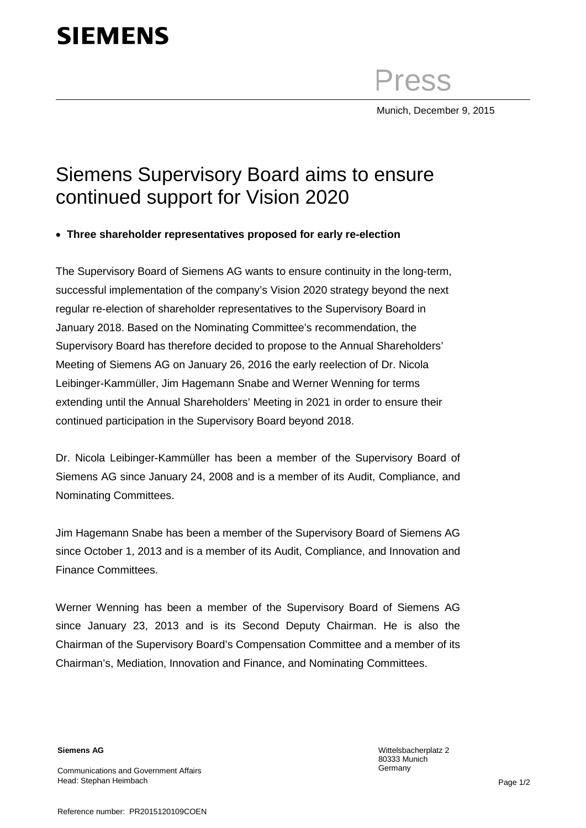# **SIEMENS**

Press

Munich, December 9, 2015

## Siemens Supervisory Board aims to ensure continued support for Vision 2020

#### • **Three shareholder representatives proposed for early re-election**

The Supervisory Board of Siemens AG wants to ensure continuity in the long-term, successful implementation of the company's Vision 2020 strategy beyond the next regular re-election of shareholder representatives to the Supervisory Board in January 2018. Based on the Nominating Committee's recommendation, the Supervisory Board has therefore decided to propose to the Annual Shareholders' Meeting of Siemens AG on January 26, 2016 the early reelection of Dr. Nicola Leibinger-Kammüller, Jim Hagemann Snabe and Werner Wenning for terms extending until the Annual Shareholders' Meeting in 2021 in order to ensure their continued participation in the Supervisory Board beyond 2018.

Dr. Nicola Leibinger-Kammüller has been a member of the Supervisory Board of Siemens AG since January 24, 2008 and is a member of its Audit, Compliance, and Nominating Committees.

Jim Hagemann Snabe has been a member of the Supervisory Board of Siemens AG since October 1, 2013 and is a member of its Audit, Compliance, and Innovation and Finance Committees.

Werner Wenning has been a member of the Supervisory Board of Siemens AG since January 23, 2013 and is its Second Deputy Chairman. He is also the Chairman of the Supervisory Board's Compensation Committee and a member of its Chairman's, Mediation, Innovation and Finance, and Nominating Committees.

**Siemens AG**

Communications and Government Affairs Head: Stephan Heimbach